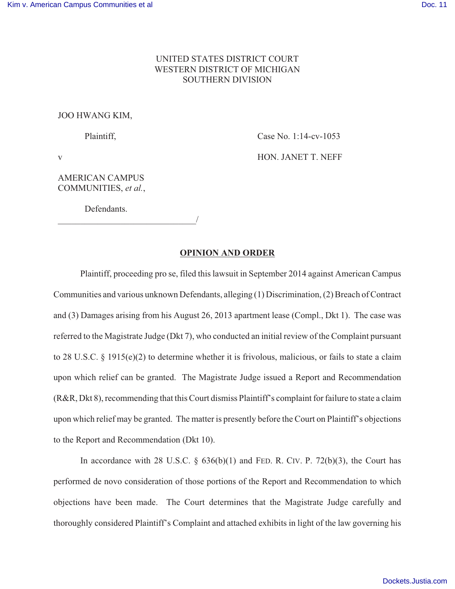## UNITED STATES DISTRICT COURT WESTERN DISTRICT OF MICHIGAN SOUTHERN DIVISION

## JOO HWANG KIM,

Plaintiff,

Case No. 1:14-cv-1053

v

HON. JANET T. NEFF

AMERICAN CAMPUS COMMUNITIES, *et al.*,

Defendants.

\_\_\_\_\_\_\_\_\_\_\_\_\_\_\_\_\_\_\_\_\_\_\_\_\_\_\_\_\_\_\_/

## **OPINION AND ORDER**

Plaintiff, proceeding pro se, filed this lawsuit in September 2014 against American Campus Communities and various unknown Defendants, alleging (1) Discrimination, (2) Breach of Contract and (3) Damages arising from his August 26, 2013 apartment lease (Compl., Dkt 1). The case was referred to the Magistrate Judge (Dkt 7), who conducted an initial review of the Complaint pursuant to 28 U.S.C. § 1915(e)(2) to determine whether it is frivolous, malicious, or fails to state a claim upon which relief can be granted. The Magistrate Judge issued a Report and Recommendation (R&R, Dkt 8), recommending that this Court dismiss Plaintiff's complaint for failure to state a claim upon which relief may be granted. The matter is presently before the Court on Plaintiff's objections to the Report and Recommendation (Dkt 10).

In accordance with 28 U.S.C.  $\S$  636(b)(1) and FED. R. CIV. P. 72(b)(3), the Court has performed de novo consideration of those portions of the Report and Recommendation to which objections have been made. The Court determines that the Magistrate Judge carefully and thoroughly considered Plaintiff's Complaint and attached exhibits in light of the law governing his